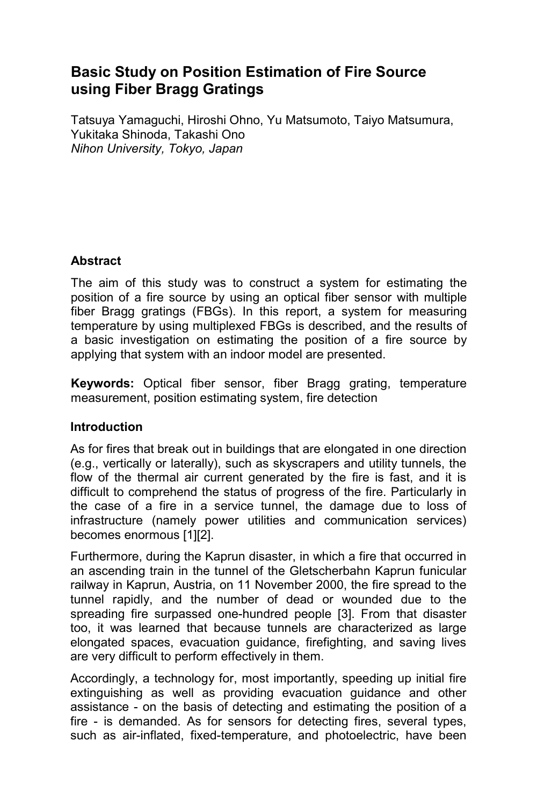# **Basic Study on Position Estimation of Fire Source using Fiber Bragg Gratings**

Tatsuya Yamaguchi, Hiroshi Ohno, Yu Matsumoto, Taiyo Matsumura, Yukitaka Shinoda, Takashi Ono *Nihon University, Tokyo, Japan* 

# **Abstract**

The aim of this study was to construct a system for estimating the position of a fire source by using an optical fiber sensor with multiple fiber Bragg gratings (FBGs). In this report, a system for measuring temperature by using multiplexed FBGs is described, and the results of a basic investigation on estimating the position of a fire source by applying that system with an indoor model are presented.

**Keywords:** Optical fiber sensor, fiber Bragg grating, temperature measurement, position estimating system, fire detection

#### **Introduction**

As for fires that break out in buildings that are elongated in one direction (e.g., vertically or laterally), such as skyscrapers and utility tunnels, the flow of the thermal air current generated by the fire is fast, and it is difficult to comprehend the status of progress of the fire. Particularly in the case of a fire in a service tunnel, the damage due to loss of infrastructure (namely power utilities and communication services) becomes enormous [1][2].

Furthermore, during the Kaprun disaster, in which a fire that occurred in an ascending train in the tunnel of the Gletscherbahn Kaprun funicular railway in Kaprun, Austria, on 11 November 2000, the fire spread to the tunnel rapidly, and the number of dead or wounded due to the spreading fire surpassed one-hundred people [3]. From that disaster too, it was learned that because tunnels are characterized as large elongated spaces, evacuation guidance, firefighting, and saving lives are very difficult to perform effectively in them.

Accordingly, a technology for, most importantly, speeding up initial fire extinguishing as well as providing evacuation guidance and other assistance - on the basis of detecting and estimating the position of a fire - is demanded. As for sensors for detecting fires, several types, such as air-inflated, fixed-temperature, and photoelectric, have been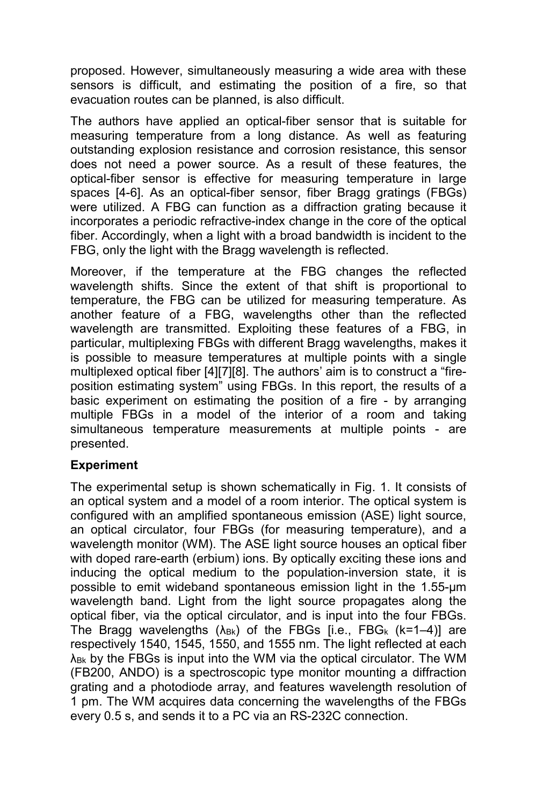proposed. However, simultaneously measuring a wide area with these sensors is difficult, and estimating the position of a fire, so that evacuation routes can be planned, is also difficult.

The authors have applied an optical-fiber sensor that is suitable for measuring temperature from a long distance. As well as featuring outstanding explosion resistance and corrosion resistance, this sensor does not need a power source. As a result of these features, the optical-fiber sensor is effective for measuring temperature in large spaces [4-6]. As an optical-fiber sensor, fiber Bragg gratings (FBGs) were utilized. A FBG can function as a diffraction grating because it incorporates a periodic refractive-index change in the core of the optical fiber. Accordingly, when a light with a broad bandwidth is incident to the FBG, only the light with the Bragg wavelength is reflected.

Moreover, if the temperature at the FBG changes the reflected wavelength shifts. Since the extent of that shift is proportional to temperature, the FBG can be utilized for measuring temperature. As another feature of a FBG, wavelengths other than the reflected wavelength are transmitted. Exploiting these features of a FBG, in particular, multiplexing FBGs with different Bragg wavelengths, makes it is possible to measure temperatures at multiple points with a single multiplexed optical fiber [4][7][8]. The authors' aim is to construct a "fireposition estimating system" using FBGs. In this report, the results of a basic experiment on estimating the position of a fire - by arranging multiple FBGs in a model of the interior of a room and taking simultaneous temperature measurements at multiple points - are presented.

# **Experiment**

The experimental setup is shown schematically in Fig. 1. It consists of an optical system and a model of a room interior. The optical system is configured with an amplified spontaneous emission (ASE) light source, an optical circulator, four FBGs (for measuring temperature), and a wavelength monitor (WM). The ASE light source houses an optical fiber with doped rare-earth (erbium) ions. By optically exciting these ions and inducing the optical medium to the population-inversion state, it is possible to emit wideband spontaneous emission light in the 1.55-µm wavelength band. Light from the light source propagates along the optical fiber, via the optical circulator, and is input into the four FBGs. The Bragg wavelengths  $(\lambda_{Bk})$  of the FBGs [i.e., FBG<sub>k</sub> (k=1–4)] are respectively 1540, 1545, 1550, and 1555 nm. The light reflected at each λ<sub>Bk</sub> by the FBGs is input into the WM via the optical circulator. The WM (FB200, ANDO) is a spectroscopic type monitor mounting a diffraction grating and a photodiode array, and features wavelength resolution of 1 pm. The WM acquires data concerning the wavelengths of the FBGs every 0.5 s, and sends it to a PC via an RS-232C connection.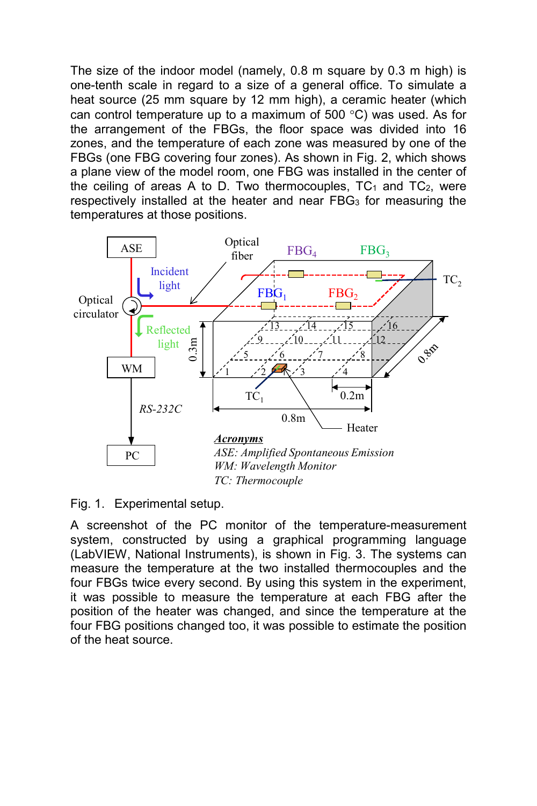The size of the indoor model (namely, 0.8 m square by 0.3 m high) is one-tenth scale in regard to a size of a general office. To simulate a heat source (25 mm square by 12 mm high), a ceramic heater (which can control temperature up to a maximum of 500 °C) was used. As for the arrangement of the FBGs, the floor space was divided into 16 zones, and the temperature of each zone was measured by one of the FBGs (one FBG covering four zones). As shown in Fig. 2, which shows a plane view of the model room, one FBG was installed in the center of the ceiling of areas A to D. Two thermocouples,  $TC_1$  and  $TC_2$ , were respectively installed at the heater and near FBG<sub>3</sub> for measuring the temperatures at those positions.



Fig. 1. Experimental setup.

A screenshot of the PC monitor of the temperature-measurement system, constructed by using a graphical programming language (LabVIEW, National Instruments), is shown in Fig. 3. The systems can measure the temperature at the two installed thermocouples and the four FBGs twice every second. By using this system in the experiment, it was possible to measure the temperature at each FBG after the position of the heater was changed, and since the temperature at the four FBG positions changed too, it was possible to estimate the position of the heat source.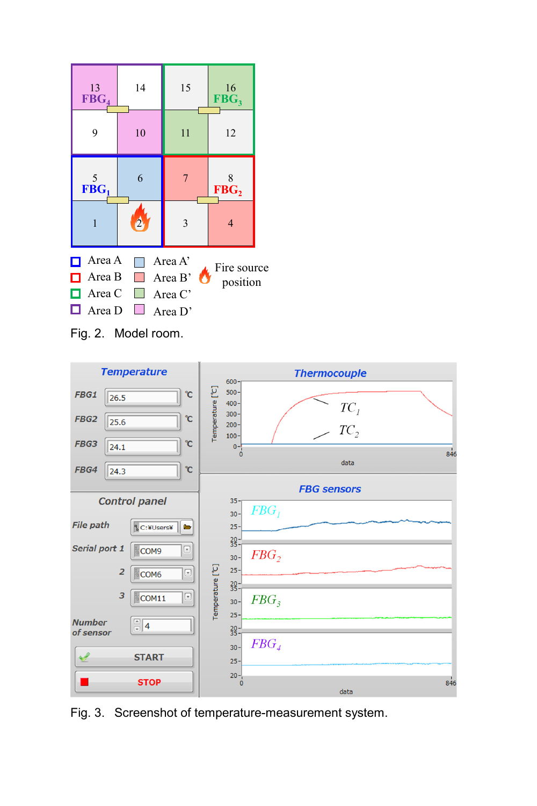





Fig. 3. Screenshot of temperature-measurement system.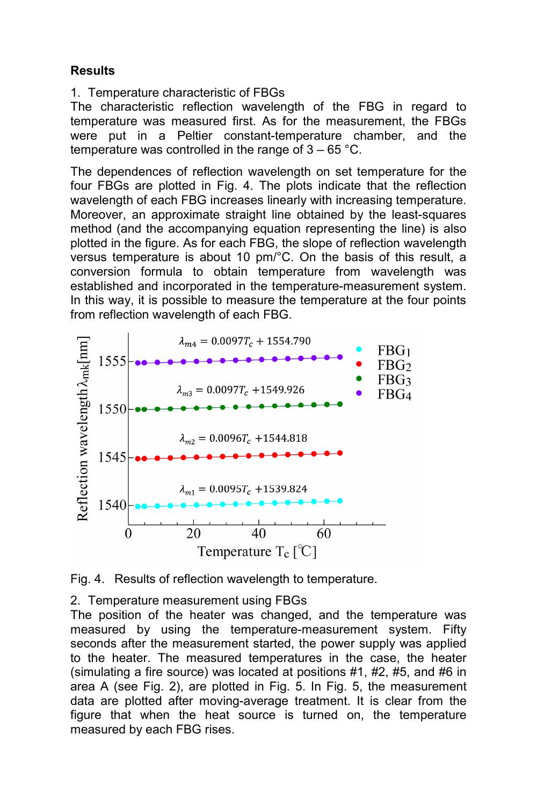# **Results**

1. Temperature characteristic of FBGs

The characteristic reflection wavelength of the FBG in regard to temperature was measured first. As for the measurement, the FBGs were put in a Peltier constant-temperature chamber, and the temperature was controlled in the range of  $3 - 65$  °C.

The dependences of reflection wavelength on set temperature for the four FBGs are plotted in Fig. 4. The plots indicate that the reflection wavelength of each FBG increases linearly with increasing temperature. Moreover, an approximate straight line obtained by the least-squares method (and the accompanying equation representing the line) is also plotted in the figure. As for each FBG, the slope of reflection wavelength versus temperature is about 10 pm/°C. On the basis of this result, a conversion formula to obtain temperature from wavelength was established and incorporated in the temperature-measurement system. In this way, it is possible to measure the temperature at the four points from reflection wavelength of each FBG.





2. Temperature measurement using FBGs

The position of the heater was changed, and the temperature was measured by using the temperature-measurement system. Fifty seconds after the measurement started, the power supply was applied to the heater. The measured temperatures in the case, the heater (simulating a fire source) was located at positions #1, #2, #5, and #6 in area A (see Fig. 2), are plotted in Fig. 5. In Fig. 5, the measurement data are plotted after moving-average treatment. It is clear from the figure that when the heat source is turned on, the temperature measured by each FBG rises.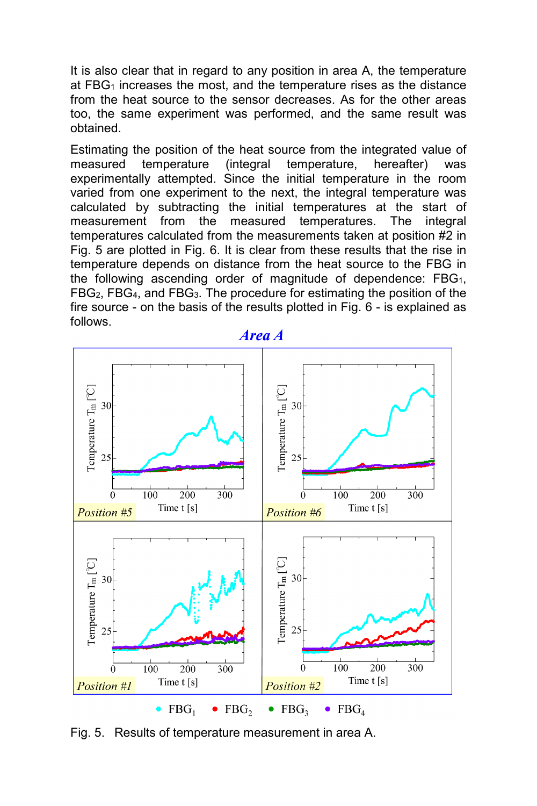It is also clear that in regard to any position in area A, the temperature at FBG<sub>1</sub> increases the most, and the temperature rises as the distance from the heat source to the sensor decreases. As for the other areas too, the same experiment was performed, and the same result was obtained.

Estimating the position of the heat source from the integrated value of measured temperature (integral temperature, hereafter) was experimentally attempted. Since the initial temperature in the room varied from one experiment to the next, the integral temperature was calculated by subtracting the initial temperatures at the start of measurement from the measured temperatures. The integral temperatures calculated from the measurements taken at position #2 in Fig. 5 are plotted in Fig. 6. It is clear from these results that the rise in temperature depends on distance from the heat source to the FBG in the following ascending order of magnitude of dependence:  $FBG<sub>1</sub>$ , FBG2, FBG4, and FBG3. The procedure for estimating the position of the fire source - on the basis of the results plotted in Fig. 6 - is explained as follows.



**Area A** 

Fig. 5. Results of temperature measurement in area A.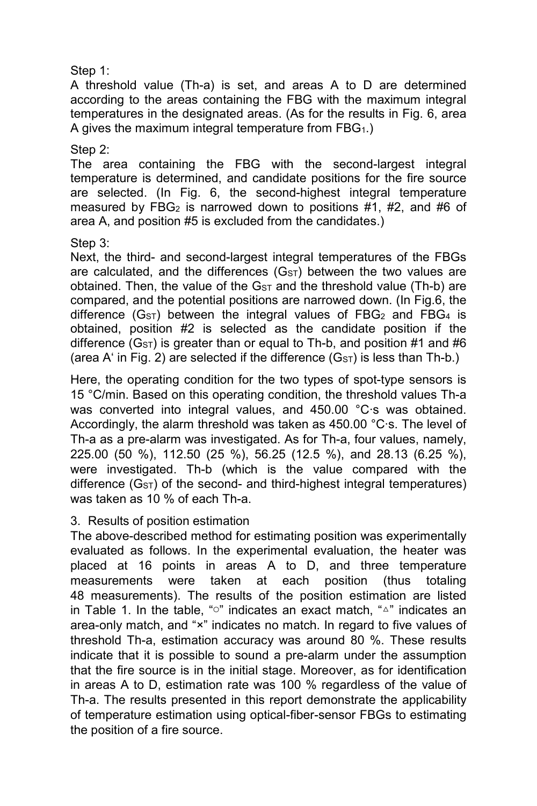Step 1:

A threshold value (Th-a) is set, and areas A to D are determined according to the areas containing the FBG with the maximum integral temperatures in the designated areas. (As for the results in Fig. 6, area A gives the maximum integral temperature from FBG1.)

Step 2:

The area containing the FBG with the second-largest integral temperature is determined, and candidate positions for the fire source are selected. (In Fig. 6, the second-highest integral temperature measured by FBG<sub>2</sub> is narrowed down to positions  $#1$ ,  $#2$ , and  $#6$  of area A, and position #5 is excluded from the candidates.)

### Step 3:

Next, the third- and second-largest integral temperatures of the FBGs are calculated, and the differences  $(G<sub>ST</sub>)$  between the two values are obtained. Then, the value of the  $G_{ST}$  and the threshold value (Th-b) are compared, and the potential positions are narrowed down. (In Fig.6, the difference  $(GST)$  between the integral values of FBG<sub>2</sub> and FBG<sub>4</sub> is obtained, position #2 is selected as the candidate position if the difference  $(G<sub>ST</sub>)$  is greater than or equal to Th-b, and position #1 and #6 (area A' in Fig. 2) are selected if the difference  $(G_{ST})$  is less than Th-b.)

Here, the operating condition for the two types of spot-type sensors is 15 °C/min. Based on this operating condition, the threshold values Th-a was converted into integral values, and 450.00 °C·s was obtained. Accordingly, the alarm threshold was taken as 450.00 °C·s. The level of Th-a as a pre-alarm was investigated. As for Th-a, four values, namely, 225.00 (50 %), 112.50 (25 %), 56.25 (12.5 %), and 28.13 (6.25 %), were investigated. Th-b (which is the value compared with the difference  $(G_{ST})$  of the second- and third-highest integral temperatures) was taken as 10 % of each Th-a.

# 3. Results of position estimation

The above-described method for estimating position was experimentally evaluated as follows. In the experimental evaluation, the heater was placed at 16 points in areas A to D, and three temperature measurements were taken at each position (thus totaling 48 measurements). The results of the position estimation are listed in Table 1. In the table, "○" indicates an exact match, "△" indicates an area-only match, and "×" indicates no match. In regard to five values of threshold Th-a, estimation accuracy was around 80 %. These results indicate that it is possible to sound a pre-alarm under the assumption that the fire source is in the initial stage. Moreover, as for identification in areas A to D, estimation rate was 100 % regardless of the value of Th-a. The results presented in this report demonstrate the applicability of temperature estimation using optical-fiber-sensor FBGs to estimating the position of a fire source.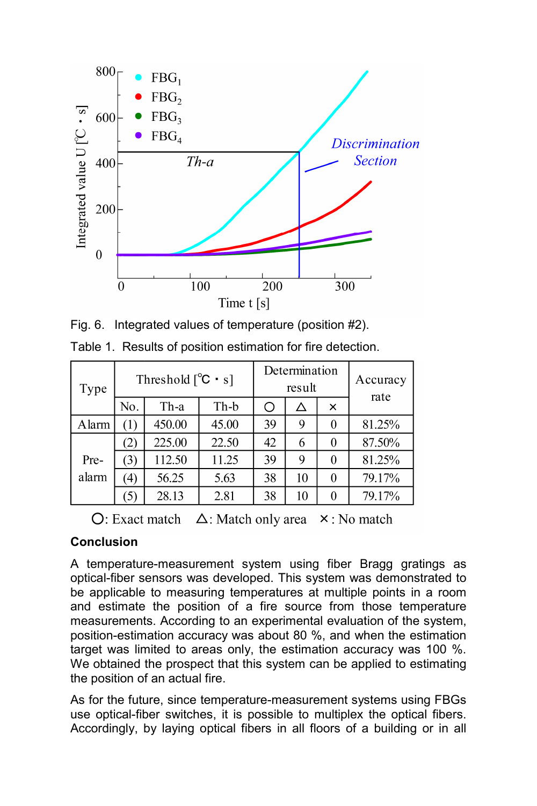

Fig. 6. Integrated values of temperature (position #2).

| Type  | Threshold $[^{\circ}C \cdot s]$ |        |       | Determination<br>result |    |   | Accuracy<br>rate |
|-------|---------------------------------|--------|-------|-------------------------|----|---|------------------|
|       | No.                             | Th-a   | Th-b  |                         | Δ  | × |                  |
| Alarm | $\left(1\right)$                | 450.00 | 45.00 | 39                      | 9  |   | 81.25%           |
|       | (2)                             | 225.00 | 22.50 | 42                      | 6  |   | 87.50%           |
| Pre-  | (3)                             | 112.50 | 11.25 | 39                      | 9  |   | 81.25%           |
| alarm | 4)                              | 56.25  | 5.63  | 38                      | 10 |   | 79.17%           |
|       | 3)                              | 28.13  | 2.81  | 38                      | 10 |   | 79.17%           |

Table 1. Results of position estimation for fire detection.

 $\bigcirc$ : Exact match  $\bigtriangleup$ : Match only area  $\times$ : No match

# **Conclusion**

A temperature-measurement system using fiber Bragg gratings as optical-fiber sensors was developed. This system was demonstrated to be applicable to measuring temperatures at multiple points in a room and estimate the position of a fire source from those temperature measurements. According to an experimental evaluation of the system, position-estimation accuracy was about 80 %, and when the estimation target was limited to areas only, the estimation accuracy was 100 %. We obtained the prospect that this system can be applied to estimating the position of an actual fire.

As for the future, since temperature-measurement systems using FBGs use optical-fiber switches, it is possible to multiplex the optical fibers. Accordingly, by laying optical fibers in all floors of a building or in all